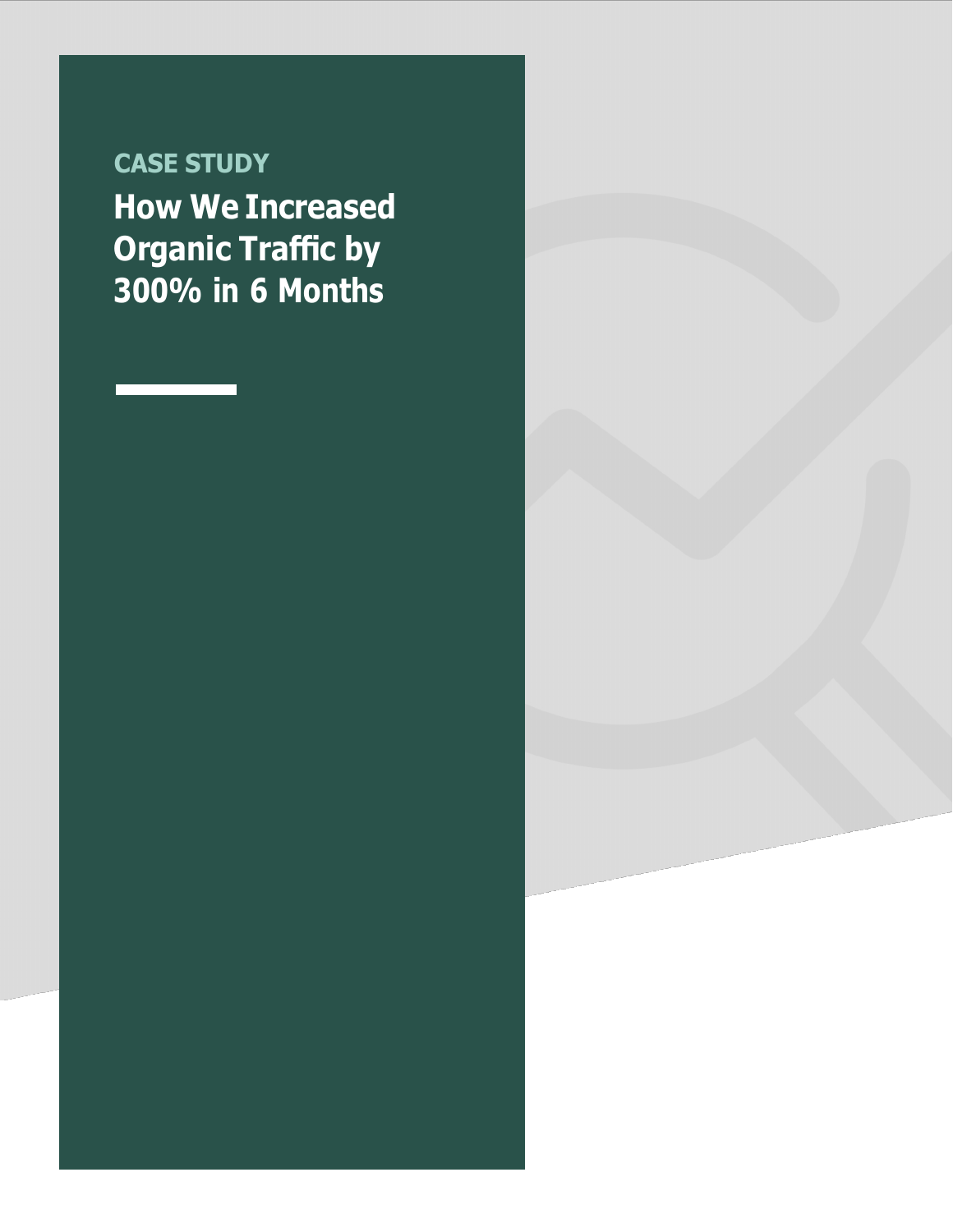**CASE STUDY How We Increased Organic Traffic by 300% in 6 Months**

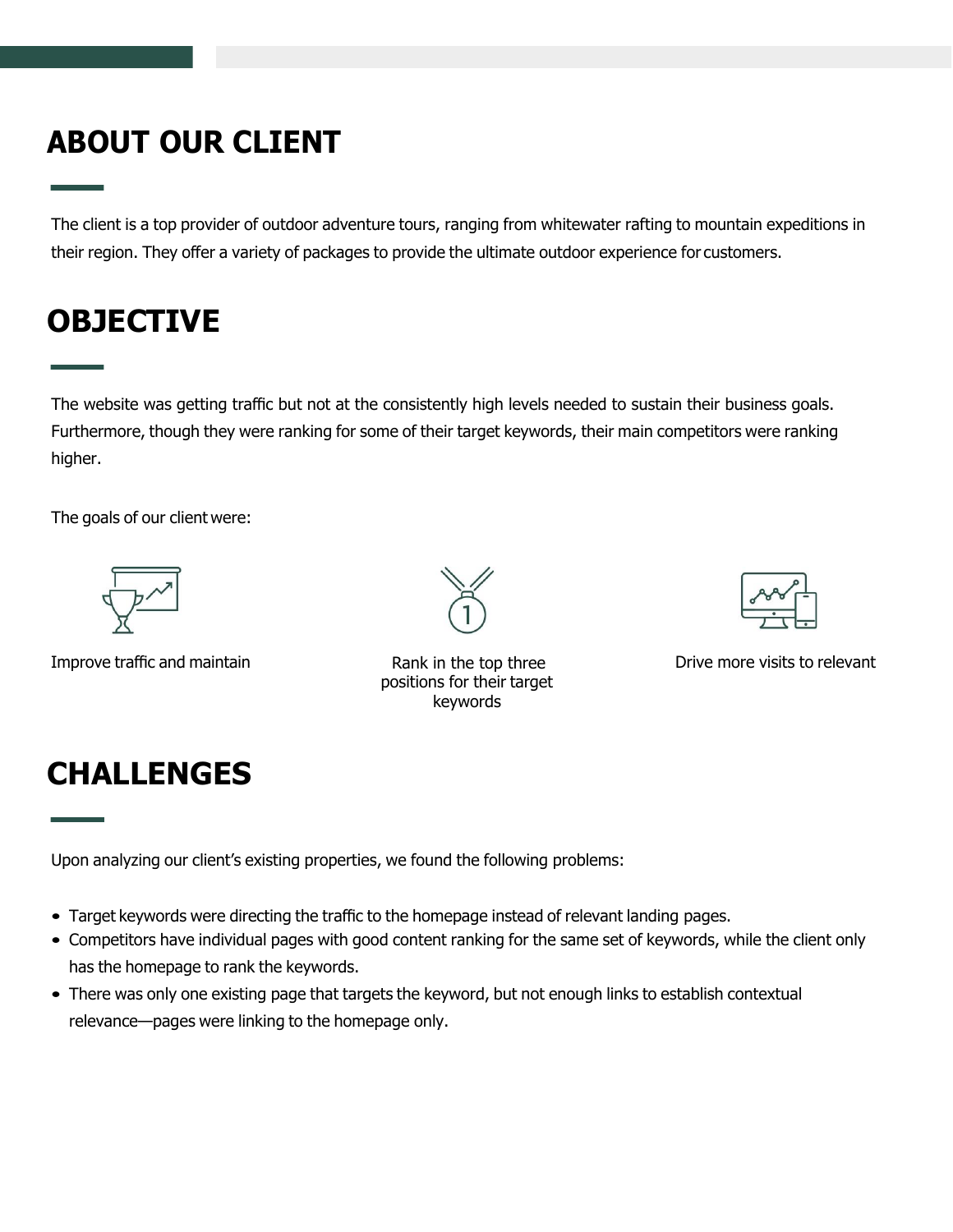# **ABOUT OUR CLIENT**

The client is a top provider of outdoor adventure tours, ranging from whitewater rafting to mountain expeditions in their region. They offer a variety of packages to provide the ultimate outdoor experience for customers.

### **OBJECTIVE**

The website was getting traffic but not at the consistently high levels needed to sustain their business goals. Furthermore, though they were ranking for some of their target keywords, their main competitors were ranking higher.

The goals of our client were:



Improve traffic and maintain The Rank in the top three



positions for their target



Drive more visits to relevant

### **CHALLENGES**

Upon analyzing our client's existing properties, we found the following problems:

- Target keywords were directing the traffic to the homepage instead of relevant landing pages.
- Competitors have individual pages with good content ranking for the same set of keywords, while the client only has the homepage to rank the keywords.
- There was only one existing page that targets the keyword, but not enough links to establish contextual relevance—pages were linking to the homepage only.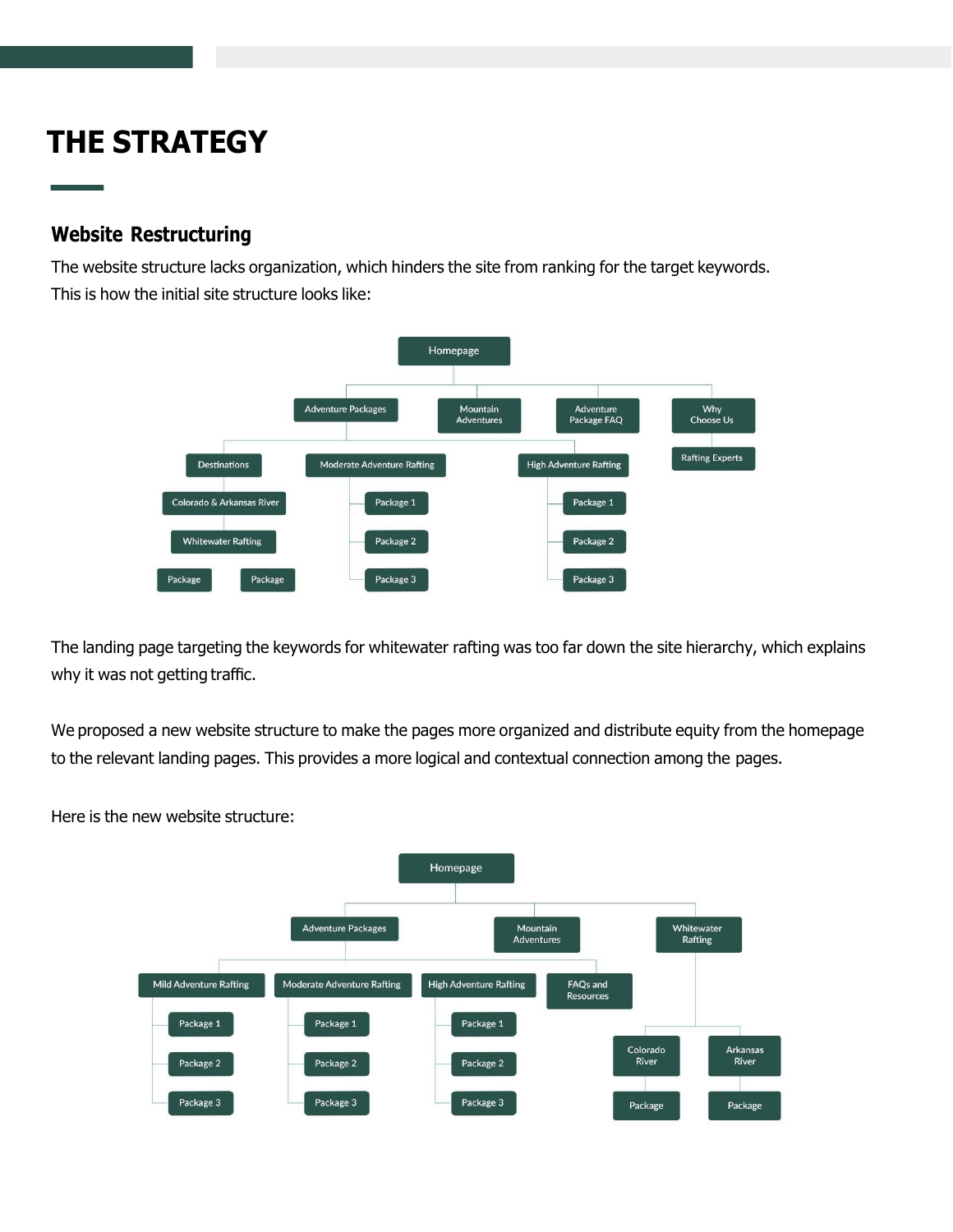## **THE STRATEGY**

#### **Website Restructuring**

The website structure lacks organization, which hinders the site from ranking for the target keywords. This is how the initial site structure looks like:



The landing page targeting the keywords for whitewater rafting was too far down the site hierarchy, which explains why it was not getting traffic.

We proposed a new website structure to make the pages more organized and distribute equity from the homepage to the relevant landing pages. This provides a more logical and contextual connection among the pages.

Here is the new website structure: